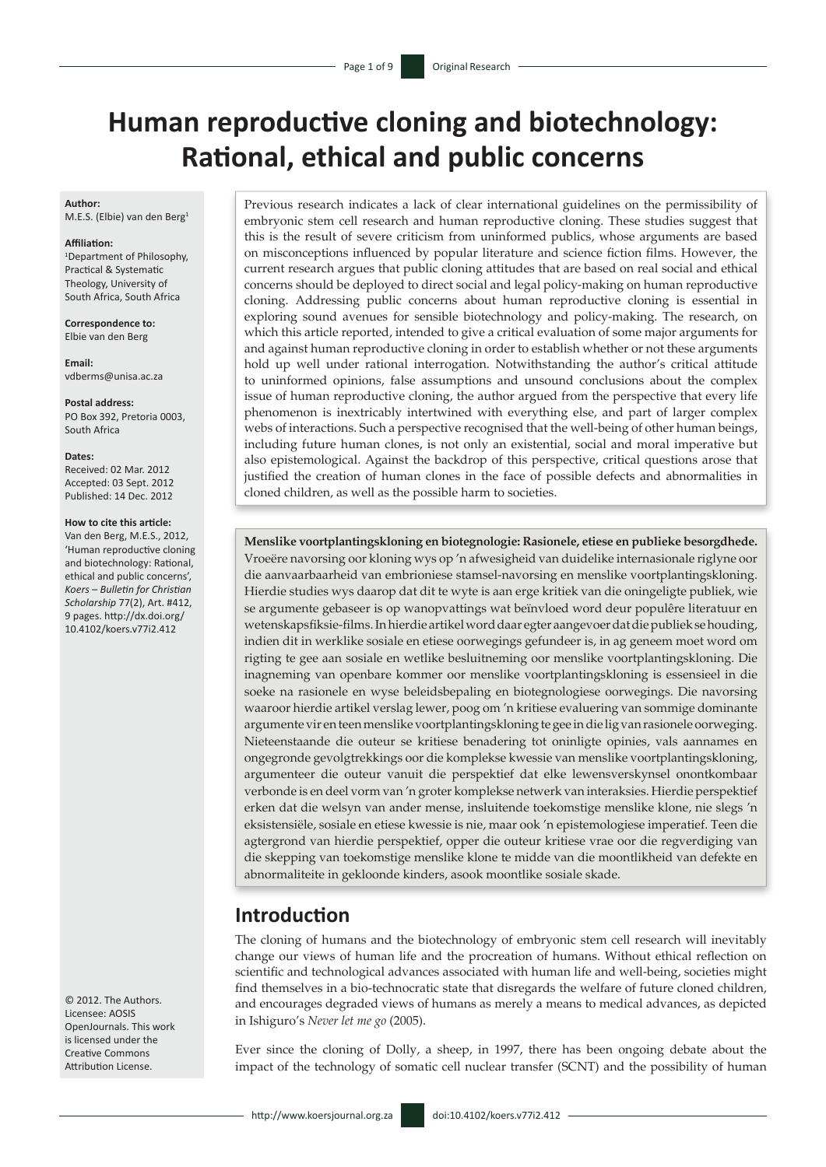# **Human reproductive cloning and biotechnology: Rational, ethical and public concerns**

#### **Author:**

M.E.S. (Elbie) van den Berg1

#### **Affiliation:**

1 Department of Philosophy, Practical & Systematic Theology, University of South Africa, South Africa

**Correspondence to:** Elbie van den Berg

**Email:** [vdberms@unisa.ac.za](mailto:vdberms%40unisa.ac.za%0D?subject=)

**Postal address:** PO Box 392, Pretoria 0003, South Africa

**Dates:** Received: 02 Mar. 2012 Accepted: 03 Sept. 2012 Published: 14 Dec. 2012

#### **How to cite this article:**

Van den Berg, M.E.S., 2012, 'Human reproductive cloning and biotechnology: Rational, ethical and public concerns', *Koers – Bulletin for Christian Scholarship* 77(2), Art. #412, 9 pages. [http://dx.doi.org/](http://dx.doi.org/ 10.4102/koers.v77i2.412)  [10.4102/koers.v77i2.412](http://dx.doi.org/ 10.4102/koers.v77i2.412)

© 2012. The Authors. Licensee: AOSIS OpenJournals. This work is licensed under the Creative Commons Attribution License.

Previous research indicates a lack of clear international guidelines on the permissibility of embryonic stem cell research and human reproductive cloning. These studies suggest that this is the result of severe criticism from uninformed publics, whose arguments are based on misconceptions influenced by popular literature and science fiction films. However, the current research argues that public cloning attitudes that are based on real social and ethical concerns should be deployed to direct social and legal policy-making on human reproductive cloning. Addressing public concerns about human reproductive cloning is essential in exploring sound avenues for sensible biotechnology and policy-making. The research, on which this article reported, intended to give a critical evaluation of some major arguments for and against human reproductive cloning in order to establish whether or not these arguments hold up well under rational interrogation. Notwithstanding the author's critical attitude to uninformed opinions, false assumptions and unsound conclusions about the complex issue of human reproductive cloning, the author argued from the perspective that every life phenomenon is inextricably intertwined with everything else, and part of larger complex webs of interactions. Such a perspective recognised that the well-being of other human beings, including future human clones, is not only an existential, social and moral imperative but also epistemological. Against the backdrop of this perspective, critical questions arose that justified the creation of human clones in the face of possible defects and abnormalities in cloned children, as well as the possible harm to societies.

**Menslike voortplantingskloning en biotegnologie: Rasionele, etiese en publieke besorgdhede.** Vroeëre navorsing oor kloning wys op 'n afwesigheid van duidelike internasionale riglyne oor die aanvaarbaarheid van embrioniese stamsel-navorsing en menslike voortplantingskloning. Hierdie studies wys daarop dat dit te wyte is aan erge kritiek van die oningeligte publiek, wie se argumente gebaseer is op wanopvattings wat beïnvloed word deur populêre literatuur en wetenskapsfiksie-films. In hierdie artikel word daar egter aangevoer dat die publiek se houding, indien dit in werklike sosiale en etiese oorwegings gefundeer is, in ag geneem moet word om rigting te gee aan sosiale en wetlike besluitneming oor menslike voortplantingskloning. Die inagneming van openbare kommer oor menslike voortplantingskloning is essensieel in die soeke na rasionele en wyse beleidsbepaling en biotegnologiese oorwegings. Die navorsing waaroor hierdie artikel verslag lewer, poog om 'n kritiese evaluering van sommige dominante argumente vir en teen menslike voortplantingskloning te gee in die lig van rasionele oorweging. Nieteenstaande die outeur se kritiese benadering tot oninligte opinies, vals aannames en ongegronde gevolgtrekkings oor die komplekse kwessie van menslike voortplantingskloning, argumenteer die outeur vanuit die perspektief dat elke lewensverskynsel onontkombaar verbonde is en deel vorm van 'n groter komplekse netwerk van interaksies. Hierdie perspektief erken dat die welsyn van ander mense, insluitende toekomstige menslike klone, nie slegs 'n eksistensiële, sosiale en etiese kwessie is nie, maar ook 'n epistemologiese imperatief. Teen die agtergrond van hierdie perspektief, opper die outeur kritiese vrae oor die regverdiging van die skepping van toekomstige menslike klone te midde van die moontlikheid van defekte en abnormaliteite in gekloonde kinders, asook moontlike sosiale skade.

### **Introduction**

The cloning of humans and the biotechnology of embryonic stem cell research will inevitably change our views of human life and the procreation of humans. Without ethical reflection on scientific and technological advances associated with human life and well-being, societies might find themselves in a bio-technocratic state that disregards the welfare of future cloned children, and encourages degraded views of humans as merely a means to medical advances, as depicted in Ishiguro's *Never let me go* (2005).

Ever since the cloning of Dolly, a sheep, in 1997, there has been ongoing debate about the impact of the technology of somatic cell nuclear transfer (SCNT) and the possibility of human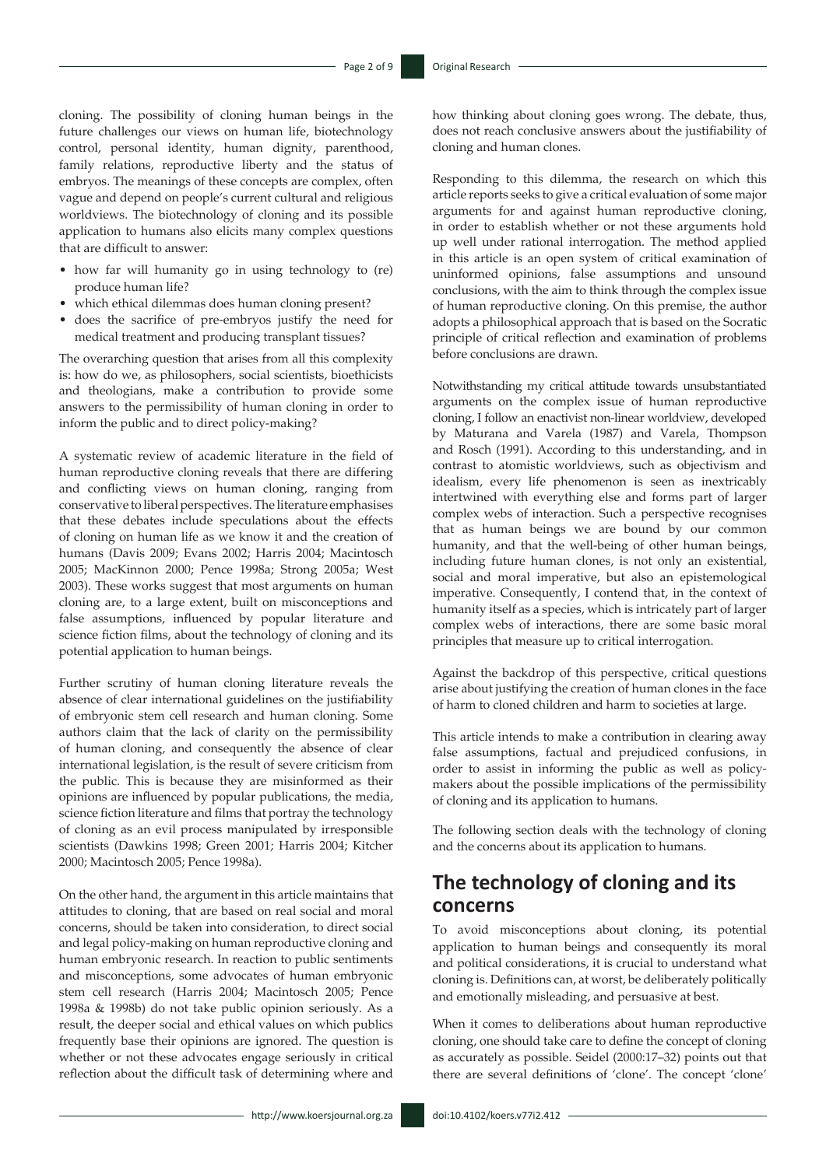cloning. The possibility of cloning human beings in the future challenges our views on human life, biotechnology control, personal identity, human dignity, parenthood, family relations, reproductive liberty and the status of embryos. The meanings of these concepts are complex, often vague and depend on people's current cultural and religious worldviews. The biotechnology of cloning and its possible application to humans also elicits many complex questions that are difficult to answer:

- how far will humanity go in using technology to (re) produce human life?
- which ethical dilemmas does human cloning present?
- does the sacrifice of pre-embryos justify the need for medical treatment and producing transplant tissues?

The overarching question that arises from all this complexity is: how do we, as philosophers, social scientists, bioethicists and theologians, make a contribution to provide some answers to the permissibility of human cloning in order to inform the public and to direct policy-making?

A systematic review of academic literature in the field of human reproductive cloning reveals that there are differing and conflicting views on human cloning, ranging from conservative to liberal perspectives. The literature emphasises that these debates include speculations about the effects of cloning on human life as we know it and the creation of humans (Davis 2009; Evans 2002; Harris 2004; Macintosch 2005; MacKinnon 2000; Pence 1998a; Strong 2005a; West 2003). These works suggest that most arguments on human cloning are, to a large extent, built on misconceptions and false assumptions, influenced by popular literature and science fiction films, about the technology of cloning and its potential application to human beings.

Further scrutiny of human cloning literature reveals the absence of clear international guidelines on the justifiability of embryonic stem cell research and human cloning. Some authors claim that the lack of clarity on the permissibility of human cloning, and consequently the absence of clear international legislation, is the result of severe criticism from the public. This is because they are misinformed as their opinions are influenced by popular publications, the media, science fiction literature and films that portray the technology of cloning as an evil process manipulated by irresponsible scientists (Dawkins 1998; Green 2001; Harris 2004; Kitcher 2000; Macintosch 2005; Pence 1998a).

On the other hand, the argument in this article maintains that attitudes to cloning, that are based on real social and moral concerns, should be taken into consideration, to direct social and legal policy-making on human reproductive cloning and human embryonic research. In reaction to public sentiments and misconceptions, some advocates of human embryonic stem cell research (Harris 2004; Macintosch 2005; Pence 1998a & 1998b) do not take public opinion seriously. As a result, the deeper social and ethical values on which publics frequently base their opinions are ignored. The question is whether or not these advocates engage seriously in critical reflection about the difficult task of determining where and

how thinking about cloning goes wrong. The debate, thus, does not reach conclusive answers about the justifiability of cloning and human clones.

Responding to this dilemma, the research on which this article reports seeks to give a critical evaluation of some major arguments for and against human reproductive cloning, in order to establish whether or not these arguments hold up well under rational interrogation. The method applied in this article is an open system of critical examination of uninformed opinions, false assumptions and unsound conclusions, with the aim to think through the complex issue of human reproductive cloning. On this premise, the author adopts a philosophical approach that is based on the Socratic principle of critical reflection and examination of problems before conclusions are drawn.

Notwithstanding my critical attitude towards unsubstantiated arguments on the complex issue of human reproductive cloning, I follow an enactivist non-linear worldview, developed by Maturana and Varela (1987) and Varela, Thompson and Rosch (1991). According to this understanding, and in contrast to atomistic worldviews, such as objectivism and idealism, every life phenomenon is seen as inextricably intertwined with everything else and forms part of larger complex webs of interaction. Such a perspective recognises that as human beings we are bound by our common humanity, and that the well-being of other human beings, including future human clones, is not only an existential, social and moral imperative, but also an epistemological imperative. Consequently, I contend that, in the context of humanity itself as a species, which is intricately part of larger complex webs of interactions, there are some basic moral principles that measure up to critical interrogation.

Against the backdrop of this perspective, critical questions arise about justifying the creation of human clones in the face of harm to cloned children and harm to societies at large.

This article intends to make a contribution in clearing away false assumptions, factual and prejudiced confusions, in order to assist in informing the public as well as policymakers about the possible implications of the permissibility of cloning and its application to humans.

The following section deals with the technology of cloning and the concerns about its application to humans.

## **The technology of cloning and its concerns**

To avoid misconceptions about cloning, its potential application to human beings and consequently its moral and political considerations, it is crucial to understand what cloning is. Definitions can, at worst, be deliberately politically and emotionally misleading, and persuasive at best.

When it comes to deliberations about human reproductive cloning, one should take care to define the concept of cloning as accurately as possible. Seidel (2000:17–32) points out that there are several definitions of 'clone'. The concept 'clone'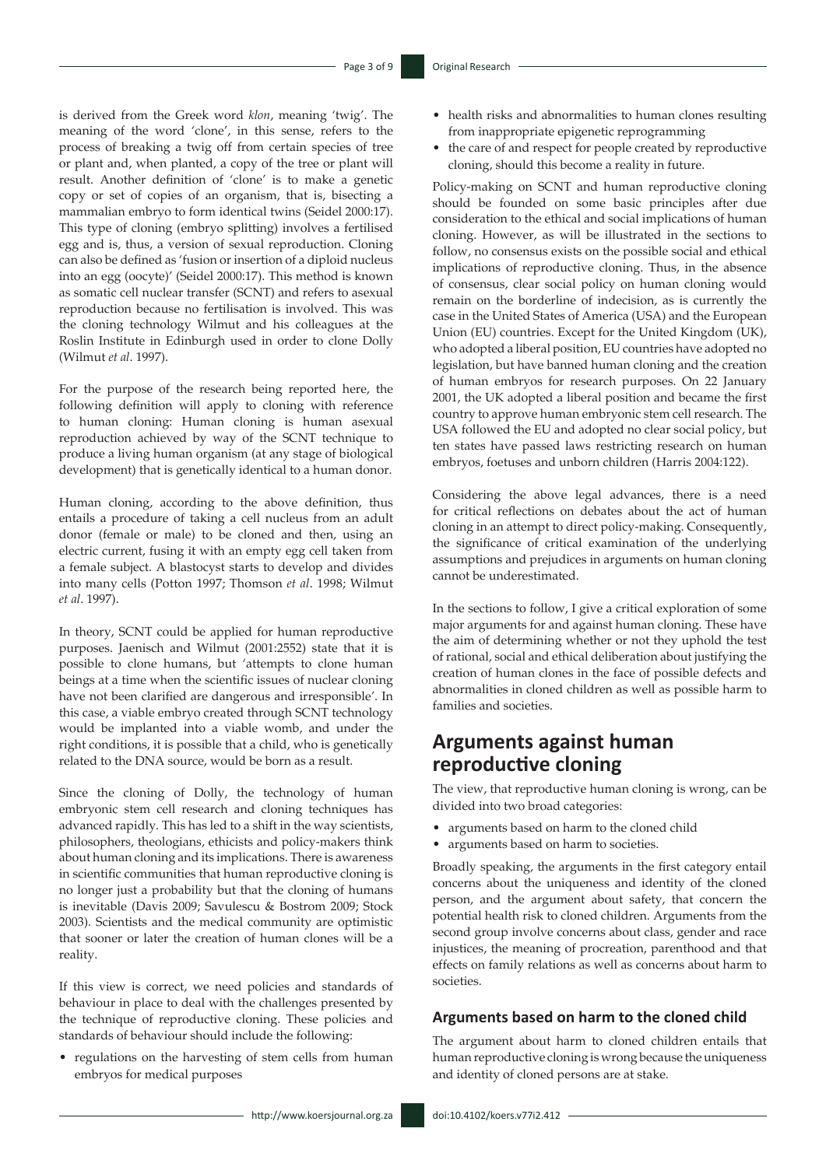is derived from the Greek word *klon*, meaning 'twig'. The meaning of the word 'clone', in this sense, refers to the process of breaking a twig off from certain species of tree or plant and, when planted, a copy of the tree or plant will result. Another definition of 'clone' is to make a genetic copy or set of copies of an organism, that is, bisecting a mammalian embryo to form identical twins (Seidel 2000:17). This type of cloning (embryo splitting) involves a fertilised egg and is, thus, a version of sexual reproduction. Cloning can also be defined as 'fusion or insertion of a diploid nucleus into an egg (oocyte)' (Seidel 2000:17). This method is known as somatic cell nuclear transfer (SCNT) and refers to asexual reproduction because no fertilisation is involved. This was the cloning technology Wilmut and his colleagues at the Roslin Institute in Edinburgh used in order to clone Dolly (Wilmut *et al*. 1997).

For the purpose of the research being reported here, the following definition will apply to cloning with reference to human cloning: Human cloning is human asexual reproduction achieved by way of the SCNT technique to produce a living human organism (at any stage of biological development) that is genetically identical to a human donor.

Human cloning, according to the above definition, thus entails a procedure of taking a cell nucleus from an adult donor (female or male) to be cloned and then, using an electric current, fusing it with an empty egg cell taken from a female subject. A blastocyst starts to develop and divides into many cells (Potton 1997; Thomson *et al*. 1998; Wilmut *et al*. 1997).

In theory, SCNT could be applied for human reproductive purposes. Jaenisch and Wilmut (2001:2552) state that it is possible to clone humans, but 'attempts to clone human beings at a time when the scientific issues of nuclear cloning have not been clarified are dangerous and irresponsible'. In this case, a viable embryo created through SCNT technology would be implanted into a viable womb, and under the right conditions, it is possible that a child, who is genetically related to the DNA source, would be born as a result.

Since the cloning of Dolly, the technology of human embryonic stem cell research and cloning techniques has advanced rapidly. This has led to a shift in the way scientists, philosophers, theologians, ethicists and policy-makers think about human cloning and its implications. There is awareness in scientific communities that human reproductive cloning is no longer just a probability but that the cloning of humans is inevitable (Davis 2009; Savulescu & Bostrom 2009; Stock 2003). Scientists and the medical community are optimistic that sooner or later the creation of human clones will be a reality.

If this view is correct, we need policies and standards of behaviour in place to deal with the challenges presented by the technique of reproductive cloning. These policies and standards of behaviour should include the following:

• regulations on the harvesting of stem cells from human embryos for medical purposes

- health risks and abnormalities to human clones resulting from inappropriate epigenetic reprogramming
- the care of and respect for people created by reproductive cloning, should this become a reality in future.

Policy-making on SCNT and human reproductive cloning should be founded on some basic principles after due consideration to the ethical and social implications of human cloning. However, as will be illustrated in the sections to follow, no consensus exists on the possible social and ethical implications of reproductive cloning. Thus, in the absence of consensus, clear social policy on human cloning would remain on the borderline of indecision, as is currently the case in the United States of America (USA) and the European Union (EU) countries. Except for the United Kingdom (UK), who adopted a liberal position, EU countries have adopted no legislation, but have banned human cloning and the creation of human embryos for research purposes. On 22 January 2001, the UK adopted a liberal position and became the first country to approve human embryonic stem cell research. The USA followed the EU and adopted no clear social policy, but ten states have passed laws restricting research on human embryos, foetuses and unborn children (Harris 2004:122).

Considering the above legal advances, there is a need for critical reflections on debates about the act of human cloning in an attempt to direct policy-making. Consequently, the significance of critical examination of the underlying assumptions and prejudices in arguments on human cloning cannot be underestimated.

In the sections to follow, I give a critical exploration of some major arguments for and against human cloning. These have the aim of determining whether or not they uphold the test of rational, social and ethical deliberation about justifying the creation of human clones in the face of possible defects and abnormalities in cloned children as well as possible harm to families and societies.

### **Arguments against human reproductive cloning**

The view, that reproductive human cloning is wrong, can be divided into two broad categories:

- arguments based on harm to the cloned child
- arguments based on harm to societies.

Broadly speaking, the arguments in the first category entail concerns about the uniqueness and identity of the cloned person, and the argument about safety, that concern the potential health risk to cloned children. Arguments from the second group involve concerns about class, gender and race injustices, the meaning of procreation, parenthood and that effects on family relations as well as concerns about harm to societies.

### **Arguments based on harm to the cloned child**

The argument about harm to cloned children entails that human reproductive cloning is wrong because the uniqueness and identity of cloned persons are at stake.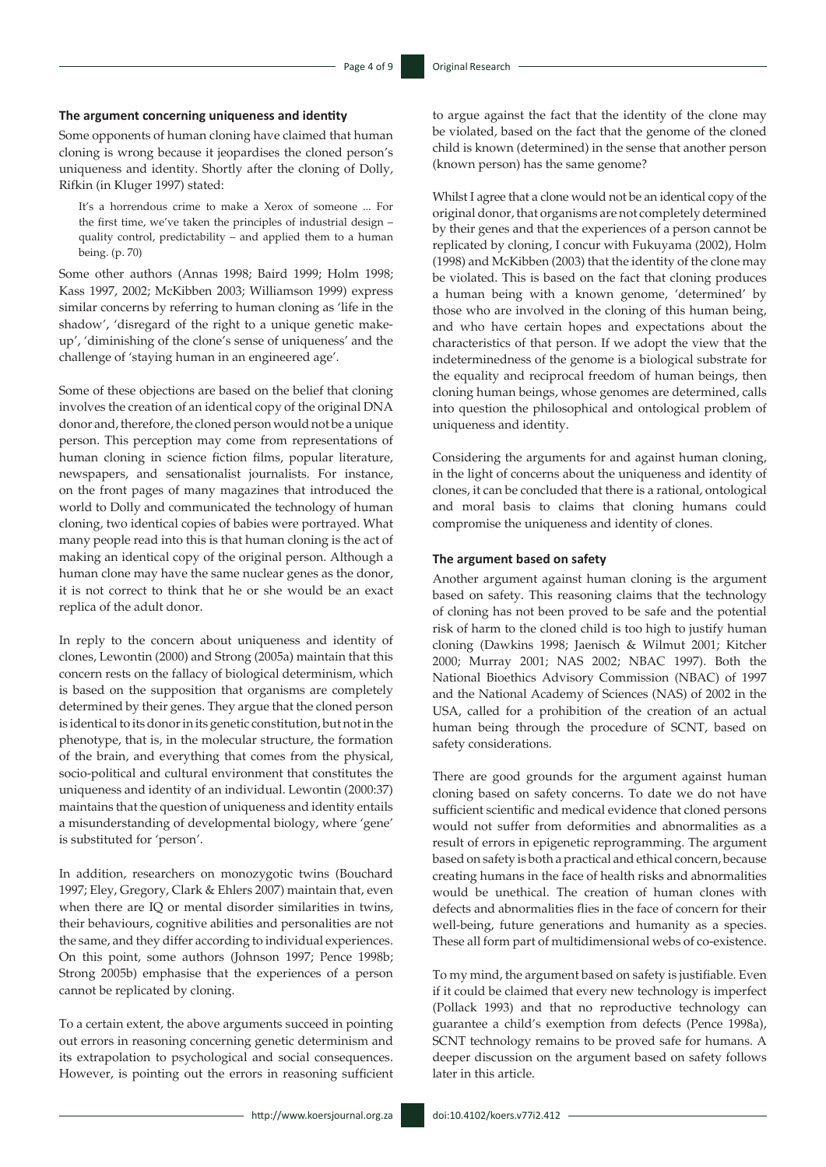#### **The argument concerning uniqueness and identity**

Some opponents of human cloning have claimed that human cloning is wrong because it jeopardises the cloned person's uniqueness and identity. Shortly after the cloning of Dolly, Rifkin (in Kluger 1997) stated:

It's a horrendous crime to make a Xerox of someone ... For the first time, we've taken the principles of industrial design – quality control, predictability – and applied them to a human being. (p. 70)

Some other authors (Annas 1998; Baird 1999; Holm 1998; Kass 1997, 2002; McKibben 2003; Williamson 1999) express similar concerns by referring to human cloning as 'life in the shadow', 'disregard of the right to a unique genetic makeup', 'diminishing of the clone's sense of uniqueness' and the challenge of 'staying human in an engineered age'.

Some of these objections are based on the belief that cloning involves the creation of an identical copy of the original DNA donor and, therefore, the cloned person would not be a unique person. This perception may come from representations of human cloning in science fiction films, popular literature, newspapers, and sensationalist journalists. For instance, on the front pages of many magazines that introduced the world to Dolly and communicated the technology of human cloning, two identical copies of babies were portrayed. What many people read into this is that human cloning is the act of making an identical copy of the original person. Although a human clone may have the same nuclear genes as the donor, it is not correct to think that he or she would be an exact replica of the adult donor.

In reply to the concern about uniqueness and identity of clones, Lewontin (2000) and Strong (2005a) maintain that this concern rests on the fallacy of biological determinism, which is based on the supposition that organisms are completely determined by their genes. They argue that the cloned person is identical to its donor in its genetic constitution, but not in the phenotype, that is, in the molecular structure, the formation of the brain, and everything that comes from the physical, socio-political and cultural environment that constitutes the uniqueness and identity of an individual. Lewontin (2000:37) maintains that the question of uniqueness and identity entails a misunderstanding of developmental biology, where 'gene' is substituted for 'person'.

In addition, researchers on monozygotic twins (Bouchard 1997; Eley, Gregory, Clark & Ehlers 2007) maintain that, even when there are IQ or mental disorder similarities in twins, their behaviours, cognitive abilities and personalities are not the same, and they differ according to individual experiences. On this point, some authors (Johnson 1997; Pence 1998b; Strong 2005b) emphasise that the experiences of a person cannot be replicated by cloning.

To a certain extent, the above arguments succeed in pointing out errors in reasoning concerning genetic determinism and its extrapolation to psychological and social consequences. However, is pointing out the errors in reasoning sufficient to argue against the fact that the identity of the clone may be violated, based on the fact that the genome of the cloned child is known (determined) in the sense that another person (known person) has the same genome?

Whilst I agree that a clone would not be an identical copy of the original donor, that organisms are not completely determined by their genes and that the experiences of a person cannot be replicated by cloning, I concur with Fukuyama (2002), Holm (1998) and McKibben (2003) that the identity of the clone may be violated. This is based on the fact that cloning produces a human being with a known genome, 'determined' by those who are involved in the cloning of this human being, and who have certain hopes and expectations about the characteristics of that person. If we adopt the view that the indeterminedness of the genome is a biological substrate for the equality and reciprocal freedom of human beings, then cloning human beings, whose genomes are determined, calls into question the philosophical and ontological problem of uniqueness and identity.

Considering the arguments for and against human cloning, in the light of concerns about the uniqueness and identity of clones, it can be concluded that there is a rational, ontological and moral basis to claims that cloning humans could compromise the uniqueness and identity of clones.

#### **The argument based on safety**

Another argument against human cloning is the argument based on safety. This reasoning claims that the technology of cloning has not been proved to be safe and the potential risk of harm to the cloned child is too high to justify human cloning (Dawkins 1998; Jaenisch & Wilmut 2001; Kitcher 2000; Murray 2001; NAS 2002; NBAC 1997). Both the National Bioethics Advisory Commission (NBAC) of 1997 and the National Academy of Sciences (NAS) of 2002 in the USA, called for a prohibition of the creation of an actual human being through the procedure of SCNT, based on safety considerations.

There are good grounds for the argument against human cloning based on safety concerns. To date we do not have sufficient scientific and medical evidence that cloned persons would not suffer from deformities and abnormalities as a result of errors in epigenetic reprogramming. The argument based on safety is both a practical and ethical concern, because creating humans in the face of health risks and abnormalities would be unethical. The creation of human clones with defects and abnormalities flies in the face of concern for their well-being, future generations and humanity as a species. These all form part of multidimensional webs of co-existence.

To my mind, the argument based on safety is justifiable. Even if it could be claimed that every new technology is imperfect (Pollack 1993) and that no reproductive technology can guarantee a child's exemption from defects (Pence 1998a), SCNT technology remains to be proved safe for humans. A deeper discussion on the argument based on safety follows later in this article.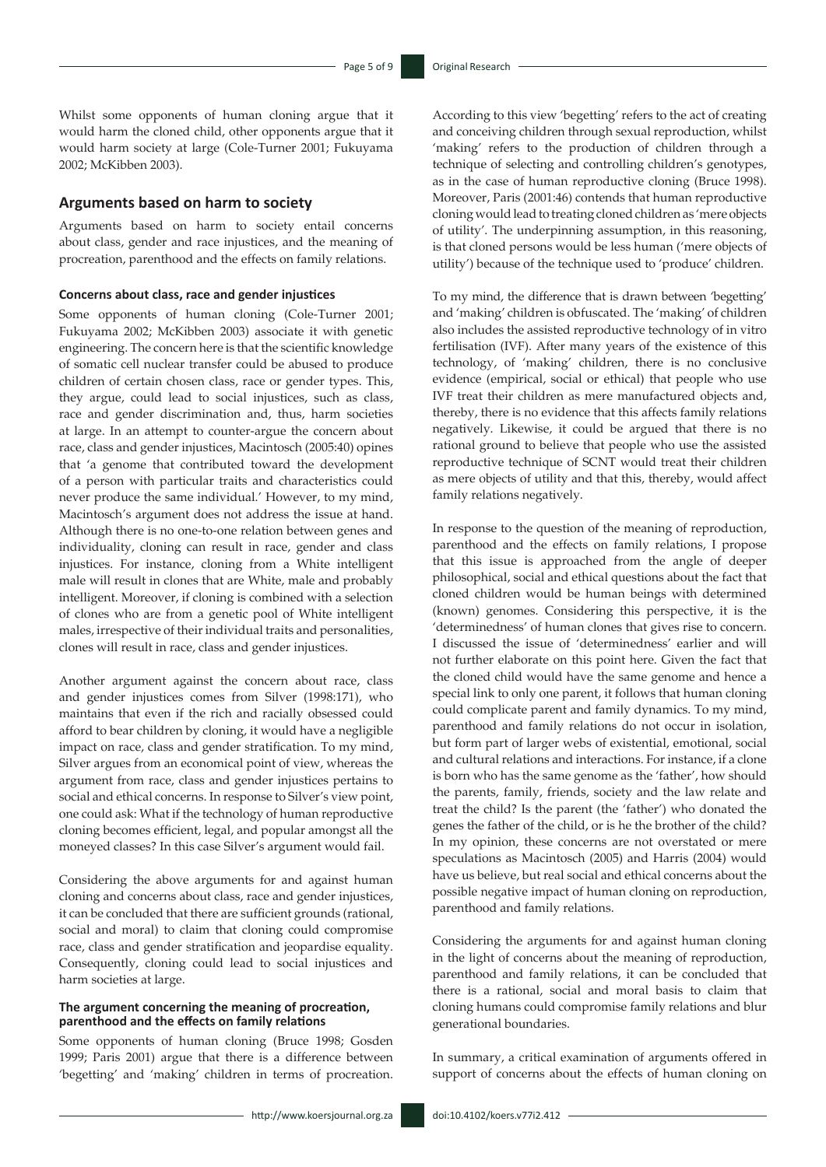Whilst some opponents of human cloning argue that it would harm the cloned child, other opponents argue that it would harm society at large (Cole-Turner 2001; Fukuyama 2002; McKibben 2003).

#### **Arguments based on harm to society**

Arguments based on harm to society entail concerns about class, gender and race injustices, and the meaning of procreation, parenthood and the effects on family relations.

#### **Concerns about class, race and gender injustices**

Some opponents of human cloning (Cole-Turner 2001; Fukuyama 2002; McKibben 2003) associate it with genetic engineering. The concern here is that the scientific knowledge of somatic cell nuclear transfer could be abused to produce children of certain chosen class, race or gender types. This, they argue, could lead to social injustices, such as class, race and gender discrimination and, thus, harm societies at large. In an attempt to counter-argue the concern about race, class and gender injustices, Macintosch (2005:40) opines that 'a genome that contributed toward the development of a person with particular traits and characteristics could never produce the same individual.' However, to my mind, Macintosch's argument does not address the issue at hand. Although there is no one-to-one relation between genes and individuality, cloning can result in race, gender and class injustices. For instance, cloning from a White intelligent male will result in clones that are White, male and probably intelligent. Moreover, if cloning is combined with a selection of clones who are from a genetic pool of White intelligent males, irrespective of their individual traits and personalities, clones will result in race, class and gender injustices.

Another argument against the concern about race, class and gender injustices comes from Silver (1998:171), who maintains that even if the rich and racially obsessed could afford to bear children by cloning, it would have a negligible impact on race, class and gender stratification. To my mind, Silver argues from an economical point of view, whereas the argument from race, class and gender injustices pertains to social and ethical concerns. In response to Silver's view point, one could ask: What if the technology of human reproductive cloning becomes efficient, legal, and popular amongst all the moneyed classes? In this case Silver's argument would fail.

Considering the above arguments for and against human cloning and concerns about class, race and gender injustices, it can be concluded that there are sufficient grounds (rational, social and moral) to claim that cloning could compromise race, class and gender stratification and jeopardise equality. Consequently, cloning could lead to social injustices and harm societies at large.

#### **The argument concerning the meaning of procreation, parenthood and the effects on family relations**

Some opponents of human cloning (Bruce 1998; Gosden 1999; Paris 2001) argue that there is a difference between 'begetting' and 'making' children in terms of procreation.

According to this view 'begetting' refers to the act of creating and conceiving children through sexual reproduction, whilst 'making' refers to the production of children through a technique of selecting and controlling children's genotypes, as in the case of human reproductive cloning (Bruce 1998). Moreover, Paris (2001:46) contends that human reproductive cloning would lead to treating cloned children as 'mere objects of utility'. The underpinning assumption, in this reasoning, is that cloned persons would be less human ('mere objects of utility') because of the technique used to 'produce' children.

To my mind, the difference that is drawn between 'begetting' and 'making' children is obfuscated. The 'making' of children also includes the assisted reproductive technology of in vitro fertilisation (IVF). After many years of the existence of this technology, of 'making' children, there is no conclusive evidence (empirical, social or ethical) that people who use IVF treat their children as mere manufactured objects and, thereby, there is no evidence that this affects family relations negatively. Likewise, it could be argued that there is no rational ground to believe that people who use the assisted reproductive technique of SCNT would treat their children as mere objects of utility and that this, thereby, would affect family relations negatively.

In response to the question of the meaning of reproduction, parenthood and the effects on family relations, I propose that this issue is approached from the angle of deeper philosophical, social and ethical questions about the fact that cloned children would be human beings with determined (known) genomes. Considering this perspective, it is the 'determinedness' of human clones that gives rise to concern. I discussed the issue of 'determinedness' earlier and will not further elaborate on this point here. Given the fact that the cloned child would have the same genome and hence a special link to only one parent, it follows that human cloning could complicate parent and family dynamics. To my mind, parenthood and family relations do not occur in isolation, but form part of larger webs of existential, emotional, social and cultural relations and interactions. For instance, if a clone is born who has the same genome as the 'father', how should the parents, family, friends, society and the law relate and treat the child? Is the parent (the 'father') who donated the genes the father of the child, or is he the brother of the child? In my opinion, these concerns are not overstated or mere speculations as Macintosch (2005) and Harris (2004) would have us believe, but real social and ethical concerns about the possible negative impact of human cloning on reproduction, parenthood and family relations.

Considering the arguments for and against human cloning in the light of concerns about the meaning of reproduction, parenthood and family relations, it can be concluded that there is a rational, social and moral basis to claim that cloning humans could compromise family relations and blur generational boundaries.

In summary, a critical examination of arguments offered in support of concerns about the effects of human cloning on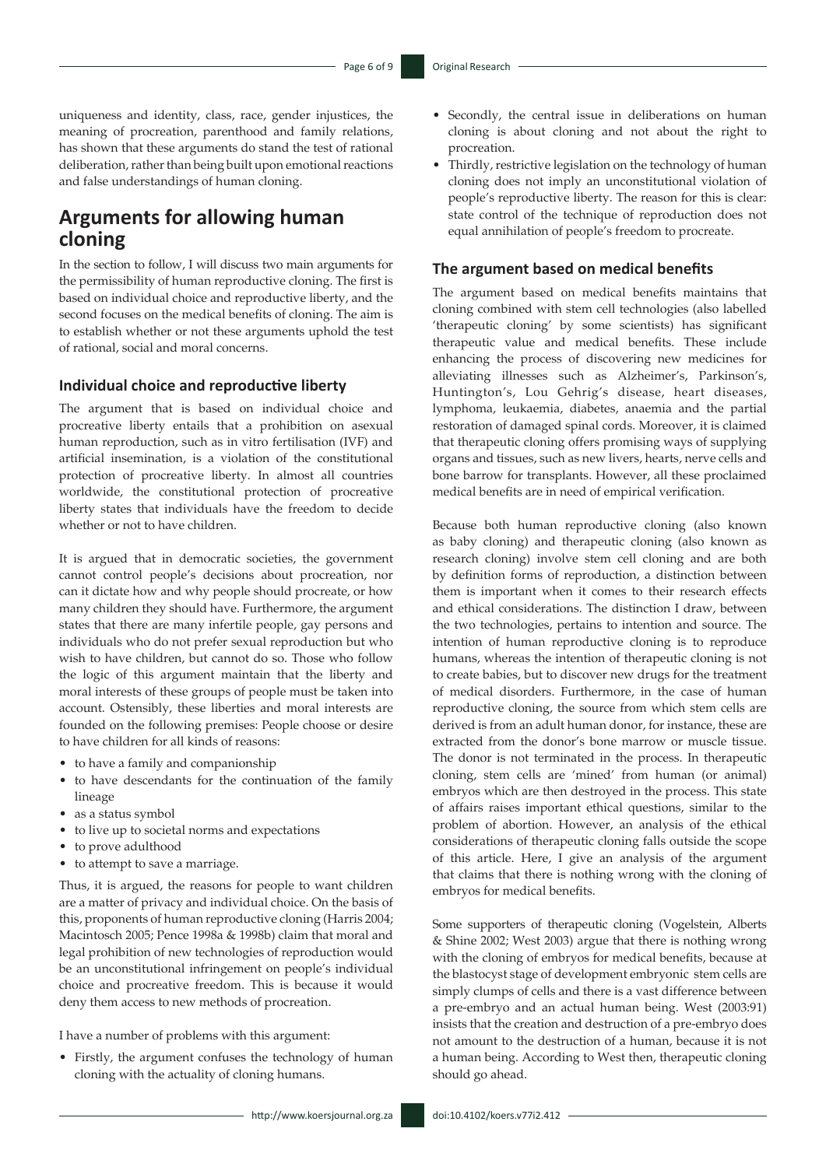uniqueness and identity, class, race, gender injustices, the meaning of procreation, parenthood and family relations, has shown that these arguments do stand the test of rational deliberation, rather than being built upon emotional reactions and false understandings of human cloning.

### **Arguments for allowing human cloning**

In the section to follow, I will discuss two main arguments for the permissibility of human reproductive cloning. The first is based on individual choice and reproductive liberty, and the second focuses on the medical benefits of cloning. The aim is to establish whether or not these arguments uphold the test of rational, social and moral concerns.

#### **Individual choice and reproductive liberty**

The argument that is based on individual choice and procreative liberty entails that a prohibition on asexual human reproduction, such as in vitro fertilisation (IVF) and artificial insemination, is a violation of the constitutional protection of procreative liberty. In almost all countries worldwide, the constitutional protection of procreative liberty states that individuals have the freedom to decide whether or not to have children.

It is argued that in democratic societies, the government cannot control people's decisions about procreation, nor can it dictate how and why people should procreate, or how many children they should have. Furthermore, the argument states that there are many infertile people, gay persons and individuals who do not prefer sexual reproduction but who wish to have children, but cannot do so. Those who follow the logic of this argument maintain that the liberty and moral interests of these groups of people must be taken into account. Ostensibly, these liberties and moral interests are founded on the following premises: People choose or desire to have children for all kinds of reasons:

- to have a family and companionship
- to have descendants for the continuation of the family lineage
- as a status symbol
- to live up to societal norms and expectations
- to prove adulthood
- to attempt to save a marriage.

Thus, it is argued, the reasons for people to want children are a matter of privacy and individual choice. On the basis of this, proponents of human reproductive cloning (Harris 2004; Macintosch 2005; Pence 1998a & 1998b) claim that moral and legal prohibition of new technologies of reproduction would be an unconstitutional infringement on people's individual choice and procreative freedom. This is because it would deny them access to new methods of procreation.

I have a number of problems with this argument:

• Firstly, the argument confuses the technology of human cloning with the actuality of cloning humans.

http://www.koersjournal.org.za doi:10.4102/koers.v77i2.412 -

- Secondly, the central issue in deliberations on human cloning is about cloning and not about the right to procreation.
- Thirdly, restrictive legislation on the technology of human cloning does not imply an unconstitutional violation of people's reproductive liberty. The reason for this is clear: state control of the technique of reproduction does not equal annihilation of people's freedom to procreate.

### **The argument based on medical benefits**

The argument based on medical benefits maintains that cloning combined with stem cell technologies (also labelled 'therapeutic cloning' by some scientists) has significant therapeutic value and medical benefits. These include enhancing the process of discovering new medicines for alleviating illnesses such as Alzheimer's, Parkinson's, Huntington's, Lou Gehrig's disease, heart diseases, lymphoma, leukaemia, diabetes, anaemia and the partial restoration of damaged spinal cords. Moreover, it is claimed that therapeutic cloning offers promising ways of supplying organs and tissues, such as new livers, hearts, nerve cells and bone barrow for transplants. However, all these proclaimed medical benefits are in need of empirical verification.

Because both human reproductive cloning (also known as baby cloning) and therapeutic cloning (also known as research cloning) involve stem cell cloning and are both by definition forms of reproduction, a distinction between them is important when it comes to their research effects and ethical considerations. The distinction I draw, between the two technologies, pertains to intention and source. The intention of human reproductive cloning is to reproduce humans, whereas the intention of therapeutic cloning is not to create babies, but to discover new drugs for the treatment of medical disorders. Furthermore, in the case of human reproductive cloning, the source from which stem cells are derived is from an adult human donor, for instance, these are extracted from the donor's bone marrow or muscle tissue. The donor is not terminated in the process. In therapeutic cloning, stem cells are 'mined' from human (or animal) embryos which are then destroyed in the process. This state of affairs raises important ethical questions, similar to the problem of abortion. However, an analysis of the ethical considerations of therapeutic cloning falls outside the scope of this article. Here, I give an analysis of the argument that claims that there is nothing wrong with the cloning of embryos for medical benefits.

Some supporters of therapeutic cloning (Vogelstein, Alberts & Shine 2002; West 2003) argue that there is nothing wrong with the cloning of embryos for medical benefits, because at the blastocyst stage of development embryonic stem cells are simply clumps of cells and there is a vast difference between a pre-embryo and an actual human being. West (2003:91) insists that the creation and destruction of a pre-embryo does not amount to the destruction of a human, because it is not a human being. According to West then, therapeutic cloning should go ahead.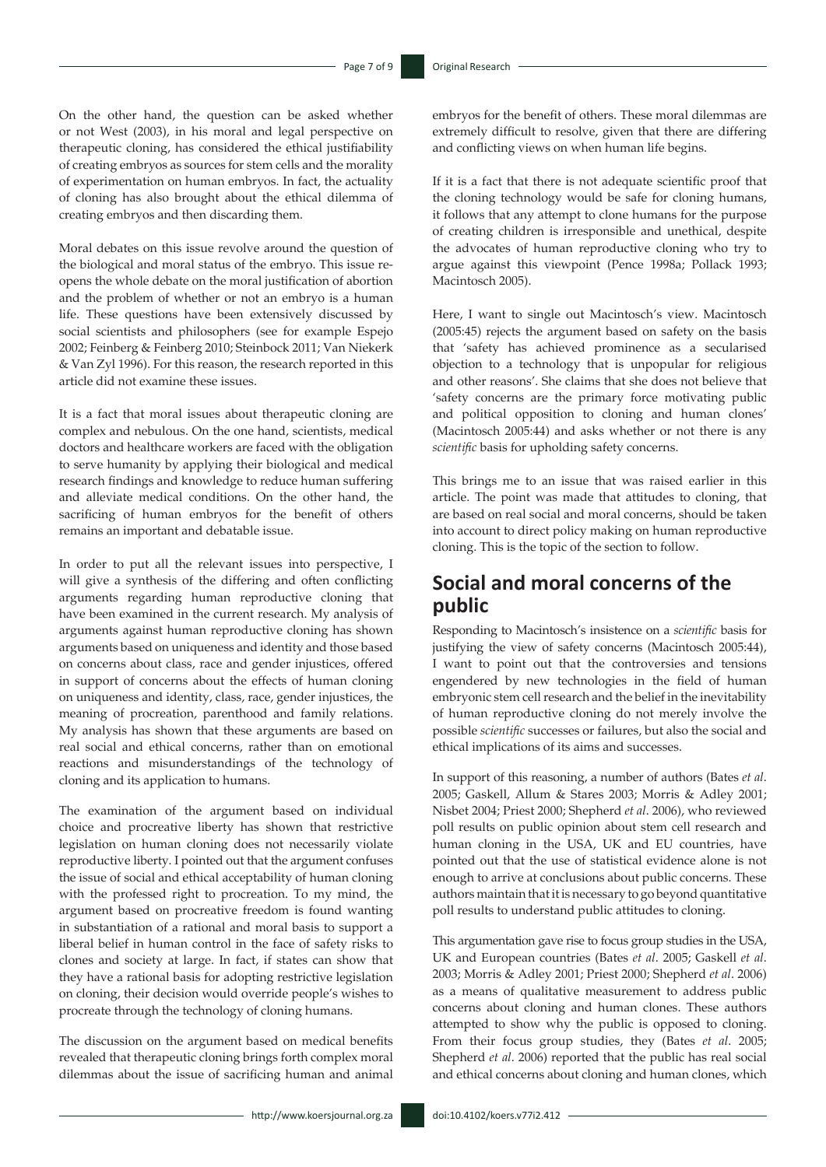On the other hand, the question can be asked whether or not West (2003), in his moral and legal perspective on therapeutic cloning, has considered the ethical justifiability of creating embryos as sources for stem cells and the morality of experimentation on human embryos. In fact, the actuality of cloning has also brought about the ethical dilemma of creating embryos and then discarding them.

Moral debates on this issue revolve around the question of the biological and moral status of the embryo. This issue reopens the whole debate on the moral justification of abortion and the problem of whether or not an embryo is a human life. These questions have been extensively discussed by social scientists and philosophers (see for example Espejo 2002; Feinberg & Feinberg 2010; Steinbock 2011; Van Niekerk & Van Zyl 1996). For this reason, the research reported in this article did not examine these issues.

It is a fact that moral issues about therapeutic cloning are complex and nebulous. On the one hand, scientists, medical doctors and healthcare workers are faced with the obligation to serve humanity by applying their biological and medical research findings and knowledge to reduce human suffering and alleviate medical conditions. On the other hand, the sacrificing of human embryos for the benefit of others remains an important and debatable issue.

In order to put all the relevant issues into perspective, I will give a synthesis of the differing and often conflicting arguments regarding human reproductive cloning that have been examined in the current research. My analysis of arguments against human reproductive cloning has shown arguments based on uniqueness and identity and those based on concerns about class, race and gender injustices, offered in support of concerns about the effects of human cloning on uniqueness and identity, class, race, gender injustices, the meaning of procreation, parenthood and family relations. My analysis has shown that these arguments are based on real social and ethical concerns, rather than on emotional reactions and misunderstandings of the technology of cloning and its application to humans.

The examination of the argument based on individual choice and procreative liberty has shown that restrictive legislation on human cloning does not necessarily violate reproductive liberty. I pointed out that the argument confuses the issue of social and ethical acceptability of human cloning with the professed right to procreation. To my mind, the argument based on procreative freedom is found wanting in substantiation of a rational and moral basis to support a liberal belief in human control in the face of safety risks to clones and society at large. In fact, if states can show that they have a rational basis for adopting restrictive legislation on cloning, their decision would override people's wishes to procreate through the technology of cloning humans.

The discussion on the argument based on medical benefits revealed that therapeutic cloning brings forth complex moral dilemmas about the issue of sacrificing human and animal embryos for the benefit of others. These moral dilemmas are extremely difficult to resolve, given that there are differing and conflicting views on when human life begins.

If it is a fact that there is not adequate scientific proof that the cloning technology would be safe for cloning humans, it follows that any attempt to clone humans for the purpose of creating children is irresponsible and unethical, despite the advocates of human reproductive cloning who try to argue against this viewpoint (Pence 1998a; Pollack 1993; Macintosch 2005).

Here, I want to single out Macintosch's view. Macintosch (2005:45) rejects the argument based on safety on the basis that 'safety has achieved prominence as a secularised objection to a technology that is unpopular for religious and other reasons'. She claims that she does not believe that 'safety concerns are the primary force motivating public and political opposition to cloning and human clones' (Macintosch 2005:44) and asks whether or not there is any *scientific* basis for upholding safety concerns.

This brings me to an issue that was raised earlier in this article. The point was made that attitudes to cloning, that are based on real social and moral concerns, should be taken into account to direct policy making on human reproductive cloning. This is the topic of the section to follow.

### **Social and moral concerns of the public**

Responding to Macintosch's insistence on a *scientific* basis for justifying the view of safety concerns (Macintosch 2005:44), I want to point out that the controversies and tensions engendered by new technologies in the field of human embryonic stem cell research and the belief in the inevitability of human reproductive cloning do not merely involve the possible *scientific* successes or failures, but also the social and ethical implications of its aims and successes.

In support of this reasoning, a number of authors (Bates *et al*. 2005; Gaskell, Allum & Stares 2003; Morris & Adley 2001; Nisbet 2004; Priest 2000; Shepherd *et al*. 2006), who reviewed poll results on public opinion about stem cell research and human cloning in the USA, UK and EU countries, have pointed out that the use of statistical evidence alone is not enough to arrive at conclusions about public concerns. These authors maintain that it is necessary to go beyond quantitative poll results to understand public attitudes to cloning.

This argumentation gave rise to focus group studies in the USA, UK and European countries (Bates *et al*. 2005; Gaskell *et al*. 2003; Morris & Adley 2001; Priest 2000; Shepherd *et al*. 2006) as a means of qualitative measurement to address public concerns about cloning and human clones. These authors attempted to show why the public is opposed to cloning. From their focus group studies, they (Bates *et al*. 2005; Shepherd *et al*. 2006) reported that the public has real social and ethical concerns about cloning and human clones, which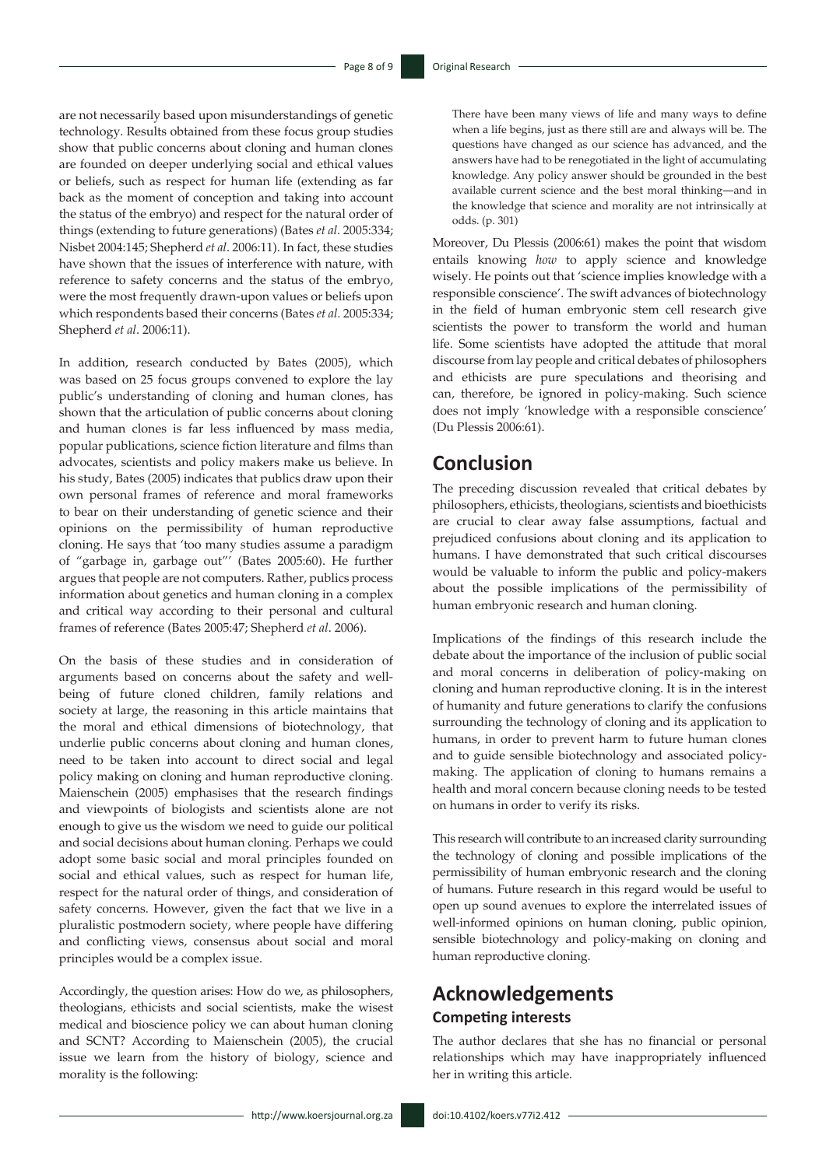are not necessarily based upon misunderstandings of genetic technology. Results obtained from these focus group studies show that public concerns about cloning and human clones are founded on deeper underlying social and ethical values or beliefs, such as respect for human life (extending as far back as the moment of conception and taking into account the status of the embryo) and respect for the natural order of things (extending to future generations) (Bates *et al.* 2005:334; Nisbet 2004:145; Shepherd *et al*. 2006:11). In fact, these studies have shown that the issues of interference with nature, with reference to safety concerns and the status of the embryo, were the most frequently drawn-upon values or beliefs upon which respondents based their concerns (Bates *et al.* 2005:334; Shepherd *et al*. 2006:11).

In addition, research conducted by Bates (2005), which was based on 25 focus groups convened to explore the lay public's understanding of cloning and human clones, has shown that the articulation of public concerns about cloning and human clones is far less influenced by mass media, popular publications, science fiction literature and films than advocates, scientists and policy makers make us believe. In his study, Bates (2005) indicates that publics draw upon their own personal frames of reference and moral frameworks to bear on their understanding of genetic science and their opinions on the permissibility of human reproductive cloning. He says that 'too many studies assume a paradigm of "garbage in, garbage out"' (Bates 2005:60). He further argues that people are not computers. Rather, publics process information about genetics and human cloning in a complex and critical way according to their personal and cultural frames of reference (Bates 2005:47; Shepherd *et al*. 2006).

On the basis of these studies and in consideration of arguments based on concerns about the safety and wellbeing of future cloned children, family relations and society at large, the reasoning in this article maintains that the moral and ethical dimensions of biotechnology, that underlie public concerns about cloning and human clones, need to be taken into account to direct social and legal policy making on cloning and human reproductive cloning. Maienschein (2005) emphasises that the research findings and viewpoints of biologists and scientists alone are not enough to give us the wisdom we need to guide our political and social decisions about human cloning. Perhaps we could adopt some basic social and moral principles founded on social and ethical values, such as respect for human life, respect for the natural order of things, and consideration of safety concerns. However, given the fact that we live in a pluralistic postmodern society, where people have differing and conflicting views, consensus about social and moral principles would be a complex issue.

Accordingly, the question arises: How do we, as philosophers, theologians, ethicists and social scientists, make the wisest medical and bioscience policy we can about human cloning and SCNT? According to Maienschein (2005), the crucial issue we learn from the history of biology, science and morality is the following:

There have been many views of life and many ways to define when a life begins, just as there still are and always will be. The questions have changed as our science has advanced, and the answers have had to be renegotiated in the light of accumulating knowledge. Any policy answer should be grounded in the best available current science and the best moral thinking―and in the knowledge that science and morality are not intrinsically at odds. (p. 301)

Moreover, Du Plessis (2006:61) makes the point that wisdom entails knowing *how* to apply science and knowledge wisely. He points out that 'science implies knowledge with a responsible conscience'. The swift advances of biotechnology in the field of human embryonic stem cell research give scientists the power to transform the world and human life. Some scientists have adopted the attitude that moral discourse from lay people and critical debates of philosophers and ethicists are pure speculations and theorising and can, therefore, be ignored in policy-making. Such science does not imply 'knowledge with a responsible conscience' (Du Plessis 2006:61).

### **Conclusion**

The preceding discussion revealed that critical debates by philosophers, ethicists, theologians, scientists and bioethicists are crucial to clear away false assumptions, factual and prejudiced confusions about cloning and its application to humans. I have demonstrated that such critical discourses would be valuable to inform the public and policy-makers about the possible implications of the permissibility of human embryonic research and human cloning.

Implications of the findings of this research include the debate about the importance of the inclusion of public social and moral concerns in deliberation of policy-making on cloning and human reproductive cloning. It is in the interest of humanity and future generations to clarify the confusions surrounding the technology of cloning and its application to humans, in order to prevent harm to future human clones and to guide sensible biotechnology and associated policymaking. The application of cloning to humans remains a health and moral concern because cloning needs to be tested on humans in order to verify its risks.

This research will contribute to an increased clarity surrounding the technology of cloning and possible implications of the permissibility of human embryonic research and the cloning of humans. Future research in this regard would be useful to open up sound avenues to explore the interrelated issues of well-informed opinions on human cloning, public opinion, sensible biotechnology and policy-making on cloning and human reproductive cloning.

### **Acknowledgements Competing interests**

The author declares that she has no financial or personal relationships which may have inappropriately influenced her in writing this article.